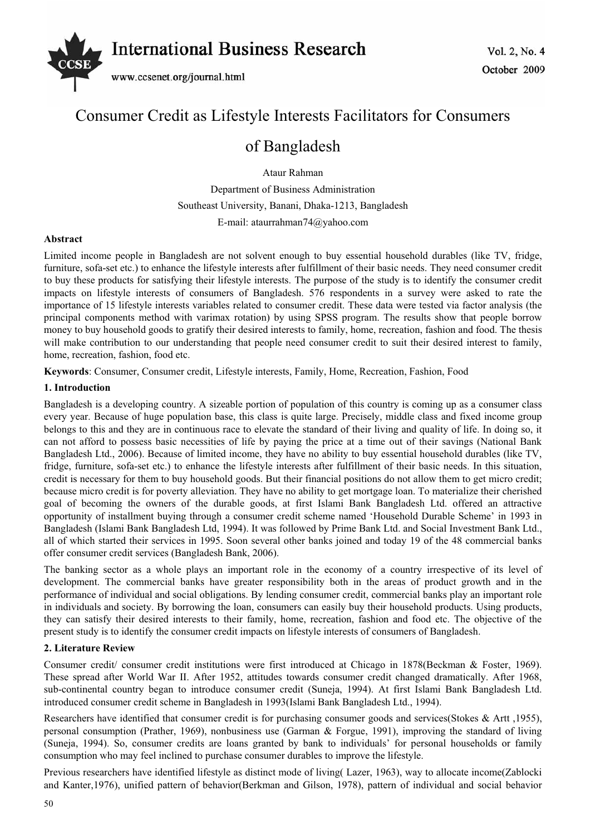

# Consumer Credit as Lifestyle Interests Facilitators for Consumers

# of Bangladesh

Ataur Rahman

Department of Business Administration Southeast University, Banani, Dhaka-1213, Bangladesh E-mail: ataurrahman74@yahoo.com

# **Abstract**

Limited income people in Bangladesh are not solvent enough to buy essential household durables (like TV, fridge, furniture, sofa-set etc.) to enhance the lifestyle interests after fulfillment of their basic needs. They need consumer credit to buy these products for satisfying their lifestyle interests. The purpose of the study is to identify the consumer credit impacts on lifestyle interests of consumers of Bangladesh. 576 respondents in a survey were asked to rate the importance of 15 lifestyle interests variables related to consumer credit. These data were tested via factor analysis (the principal components method with varimax rotation) by using SPSS program. The results show that people borrow money to buy household goods to gratify their desired interests to family, home, recreation, fashion and food. The thesis will make contribution to our understanding that people need consumer credit to suit their desired interest to family, home, recreation, fashion, food etc.

**Keywords**: Consumer, Consumer credit, Lifestyle interests, Family, Home, Recreation, Fashion, Food

## **1. Introduction**

Bangladesh is a developing country. A sizeable portion of population of this country is coming up as a consumer class every year. Because of huge population base, this class is quite large. Precisely, middle class and fixed income group belongs to this and they are in continuous race to elevate the standard of their living and quality of life. In doing so, it can not afford to possess basic necessities of life by paying the price at a time out of their savings (National Bank Bangladesh Ltd., 2006). Because of limited income, they have no ability to buy essential household durables (like TV, fridge, furniture, sofa-set etc.) to enhance the lifestyle interests after fulfillment of their basic needs. In this situation, credit is necessary for them to buy household goods. But their financial positions do not allow them to get micro credit; because micro credit is for poverty alleviation. They have no ability to get mortgage loan. To materialize their cherished goal of becoming the owners of the durable goods, at first Islami Bank Bangladesh Ltd. offered an attractive opportunity of installment buying through a consumer credit scheme named 'Household Durable Scheme' in 1993 in Bangladesh (Islami Bank Bangladesh Ltd, 1994). It was followed by Prime Bank Ltd. and Social Investment Bank Ltd., all of which started their services in 1995. Soon several other banks joined and today 19 of the 48 commercial banks offer consumer credit services (Bangladesh Bank, 2006).

The banking sector as a whole plays an important role in the economy of a country irrespective of its level of development. The commercial banks have greater responsibility both in the areas of product growth and in the performance of individual and social obligations. By lending consumer credit, commercial banks play an important role in individuals and society. By borrowing the loan, consumers can easily buy their household products. Using products, they can satisfy their desired interests to their family, home, recreation, fashion and food etc. The objective of the present study is to identify the consumer credit impacts on lifestyle interests of consumers of Bangladesh.

#### **2. Literature Review**

Consumer credit/ consumer credit institutions were first introduced at Chicago in 1878(Beckman & Foster, 1969). These spread after World War II. After 1952, attitudes towards consumer credit changed dramatically. After 1968, sub-continental country began to introduce consumer credit (Suneja, 1994). At first Islami Bank Bangladesh Ltd. introduced consumer credit scheme in Bangladesh in 1993(Islami Bank Bangladesh Ltd., 1994).

Researchers have identified that consumer credit is for purchasing consumer goods and services(Stokes & Artt ,1955), personal consumption (Prather, 1969), nonbusiness use (Garman & Forgue, 1991), improving the standard of living (Suneja, 1994). So, consumer credits are loans granted by bank to individuals' for personal households or family consumption who may feel inclined to purchase consumer durables to improve the lifestyle.

Previous researchers have identified lifestyle as distinct mode of living( Lazer, 1963), way to allocate income(Zablocki and Kanter,1976), unified pattern of behavior(Berkman and Gilson, 1978), pattern of individual and social behavior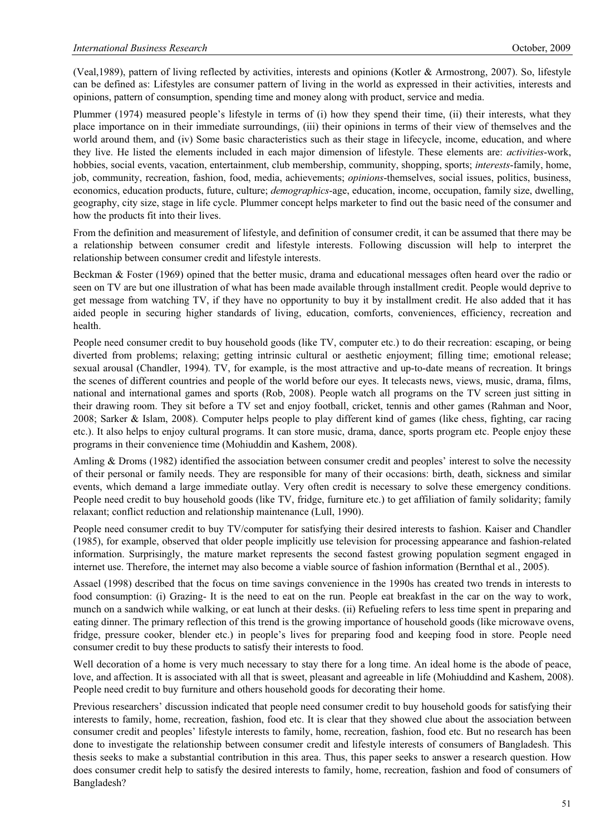(Veal,1989), pattern of living reflected by activities, interests and opinions (Kotler & Armostrong, 2007). So, lifestyle can be defined as: Lifestyles are consumer pattern of living in the world as expressed in their activities, interests and opinions, pattern of consumption, spending time and money along with product, service and media.

Plummer (1974) measured people's lifestyle in terms of (i) how they spend their time, (ii) their interests, what they place importance on in their immediate surroundings, (iii) their opinions in terms of their view of themselves and the world around them, and (iv) Some basic characteristics such as their stage in lifecycle, income, education, and where they live. He listed the elements included in each major dimension of lifestyle. These elements are: *activities*-work, hobbies, social events, vacation, entertainment, club membership, community, shopping, sports; *interests*-family, home, job, community, recreation, fashion, food, media, achievements; *opinions*-themselves, social issues, politics, business, economics, education products, future, culture; *demographics*-age, education, income, occupation, family size, dwelling, geography, city size, stage in life cycle. Plummer concept helps marketer to find out the basic need of the consumer and how the products fit into their lives.

From the definition and measurement of lifestyle, and definition of consumer credit, it can be assumed that there may be a relationship between consumer credit and lifestyle interests. Following discussion will help to interpret the relationship between consumer credit and lifestyle interests.

Beckman & Foster (1969) opined that the better music, drama and educational messages often heard over the radio or seen on TV are but one illustration of what has been made available through installment credit. People would deprive to get message from watching TV, if they have no opportunity to buy it by installment credit. He also added that it has aided people in securing higher standards of living, education, comforts, conveniences, efficiency, recreation and health.

People need consumer credit to buy household goods (like TV, computer etc.) to do their recreation: escaping, or being diverted from problems; relaxing; getting intrinsic cultural or aesthetic enjoyment; filling time; emotional release; sexual arousal (Chandler, 1994). TV, for example, is the most attractive and up-to-date means of recreation. It brings the scenes of different countries and people of the world before our eyes. It telecasts news, views, music, drama, films, national and international games and sports (Rob, 2008). People watch all programs on the TV screen just sitting in their drawing room. They sit before a TV set and enjoy football, cricket, tennis and other games (Rahman and Noor, 2008; Sarker & Islam, 2008). Computer helps people to play different kind of games (like chess, fighting, car racing etc.). It also helps to enjoy cultural programs. It can store music, drama, dance, sports program etc. People enjoy these programs in their convenience time (Mohiuddin and Kashem, 2008).

Amling & Droms (1982) identified the association between consumer credit and peoples' interest to solve the necessity of their personal or family needs. They are responsible for many of their occasions: birth, death, sickness and similar events, which demand a large immediate outlay. Very often credit is necessary to solve these emergency conditions. People need credit to buy household goods (like TV, fridge, furniture etc.) to get affiliation of family solidarity; family relaxant; conflict reduction and relationship maintenance (Lull, 1990).

People need consumer credit to buy TV/computer for satisfying their desired interests to fashion. Kaiser and Chandler (1985), for example, observed that older people implicitly use television for processing appearance and fashion-related information. Surprisingly, the mature market represents the second fastest growing population segment engaged in internet use. Therefore, the internet may also become a viable source of fashion information (Bernthal et al., 2005).

Assael (1998) described that the focus on time savings convenience in the 1990s has created two trends in interests to food consumption: (i) Grazing- It is the need to eat on the run. People eat breakfast in the car on the way to work, munch on a sandwich while walking, or eat lunch at their desks. (ii) Refueling refers to less time spent in preparing and eating dinner. The primary reflection of this trend is the growing importance of household goods (like microwave ovens, fridge, pressure cooker, blender etc.) in people's lives for preparing food and keeping food in store. People need consumer credit to buy these products to satisfy their interests to food.

Well decoration of a home is very much necessary to stay there for a long time. An ideal home is the abode of peace, love, and affection. It is associated with all that is sweet, pleasant and agreeable in life (Mohiuddind and Kashem, 2008). People need credit to buy furniture and others household goods for decorating their home.

Previous researchers' discussion indicated that people need consumer credit to buy household goods for satisfying their interests to family, home, recreation, fashion, food etc. It is clear that they showed clue about the association between consumer credit and peoples' lifestyle interests to family, home, recreation, fashion, food etc. But no research has been done to investigate the relationship between consumer credit and lifestyle interests of consumers of Bangladesh. This thesis seeks to make a substantial contribution in this area. Thus, this paper seeks to answer a research question. How does consumer credit help to satisfy the desired interests to family, home, recreation, fashion and food of consumers of Bangladesh?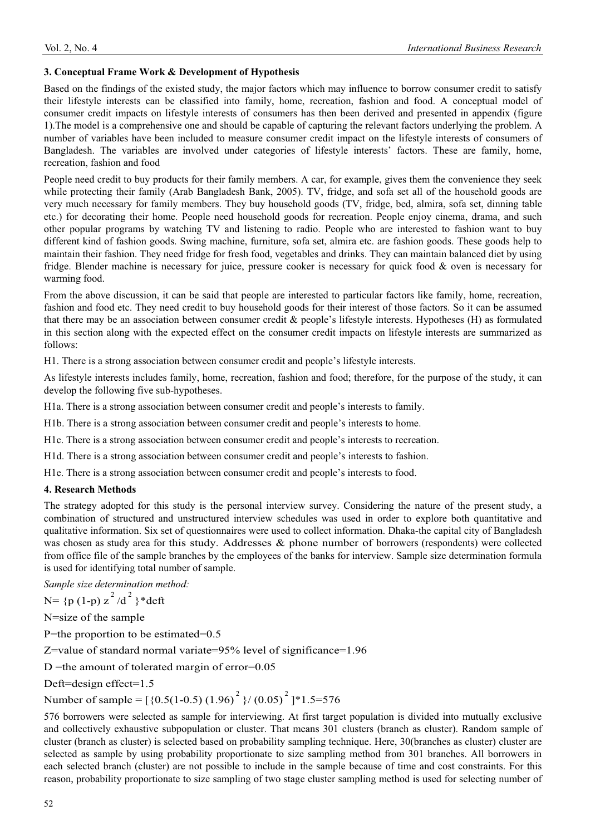# **3. Conceptual Frame Work & Development of Hypothesis**

Based on the findings of the existed study, the major factors which may influence to borrow consumer credit to satisfy their lifestyle interests can be classified into family, home, recreation, fashion and food. A conceptual model of consumer credit impacts on lifestyle interests of consumers has then been derived and presented in appendix (figure 1).The model is a comprehensive one and should be capable of capturing the relevant factors underlying the problem. A number of variables have been included to measure consumer credit impact on the lifestyle interests of consumers of Bangladesh. The variables are involved under categories of lifestyle interests' factors. These are family, home, recreation, fashion and food

People need credit to buy products for their family members. A car, for example, gives them the convenience they seek while protecting their family (Arab Bangladesh Bank, 2005). TV, fridge, and sofa set all of the household goods are very much necessary for family members. They buy household goods (TV, fridge, bed, almira, sofa set, dinning table etc.) for decorating their home. People need household goods for recreation. People enjoy cinema, drama, and such other popular programs by watching TV and listening to radio. People who are interested to fashion want to buy different kind of fashion goods. Swing machine, furniture, sofa set, almira etc. are fashion goods. These goods help to maintain their fashion. They need fridge for fresh food, vegetables and drinks. They can maintain balanced diet by using fridge. Blender machine is necessary for juice, pressure cooker is necessary for quick food & oven is necessary for warming food.

From the above discussion, it can be said that people are interested to particular factors like family, home, recreation, fashion and food etc. They need credit to buy household goods for their interest of those factors. So it can be assumed that there may be an association between consumer credit  $\&$  people's lifestyle interests. Hypotheses (H) as formulated in this section along with the expected effect on the consumer credit impacts on lifestyle interests are summarized as follows:

H1. There is a strong association between consumer credit and people's lifestyle interests.

As lifestyle interests includes family, home, recreation, fashion and food; therefore, for the purpose of the study, it can develop the following five sub-hypotheses.

H1a. There is a strong association between consumer credit and people's interests to family.

H1b. There is a strong association between consumer credit and people's interests to home.

H1c. There is a strong association between consumer credit and people's interests to recreation.

H1d. There is a strong association between consumer credit and people's interests to fashion.

H1e. There is a strong association between consumer credit and people's interests to food.

#### **4. Research Methods**

The strategy adopted for this study is the personal interview survey. Considering the nature of the present study, a combination of structured and unstructured interview schedules was used in order to explore both quantitative and qualitative information. Six set of questionnaires were used to collect information. Dhaka-the capital city of Bangladesh was chosen as study area for this study. Addresses & phone number of borrowers (respondents) were collected from office file of the sample branches by the employees of the banks for interview. Sample size determination formula is used for identifying total number of sample.

*Sample size determination method:* 

N= {p (1-p)  $z^2/d^2$  } \* deft

N=size of the sample

P=the proportion to be estimated=0.5

Z=value of standard normal variate=95% level of significance=1.96

D =the amount of tolerated margin of error=0.05

Deft=design effect=1.5

Number of sample =  $\left[ \{0.5(1-0.5) (1.96)^{2} \} / (0.05)^{2} \right]$ \*1.5=576

576 borrowers were selected as sample for interviewing. At first target population is divided into mutually exclusive and collectively exhaustive subpopulation or cluster. That means 301 clusters (branch as cluster). Random sample of cluster (branch as cluster) is selected based on probability sampling technique. Here, 30(branches as cluster) cluster are selected as sample by using probability proportionate to size sampling method from 301 branches. All borrowers in each selected branch (cluster) are not possible to include in the sample because of time and cost constraints. For this reason, probability proportionate to size sampling of two stage cluster sampling method is used for selecting number of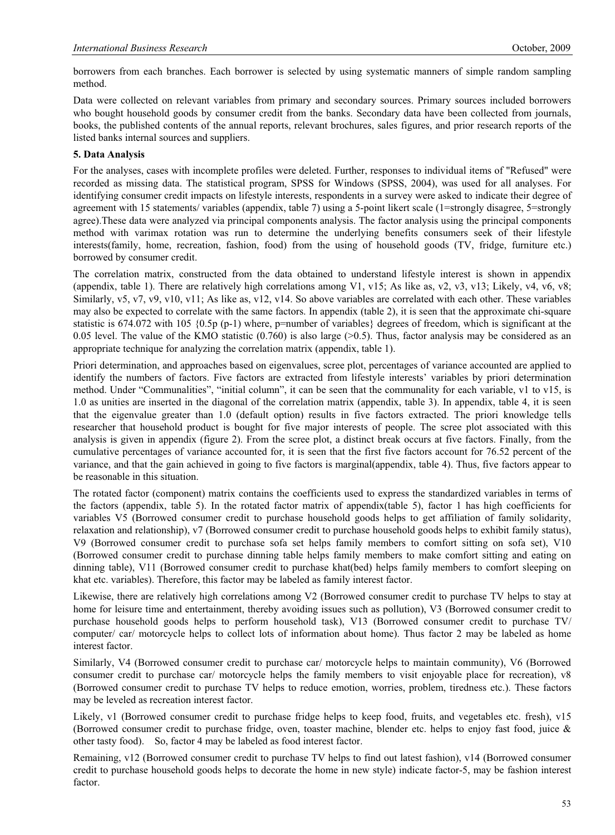borrowers from each branches. Each borrower is selected by using systematic manners of simple random sampling method.

Data were collected on relevant variables from primary and secondary sources. Primary sources included borrowers who bought household goods by consumer credit from the banks. Secondary data have been collected from journals, books, the published contents of the annual reports, relevant brochures, sales figures, and prior research reports of the listed banks internal sources and suppliers.

# **5. Data Analysis**

For the analyses, cases with incomplete profiles were deleted. Further, responses to individual items of "Refused" were recorded as missing data. The statistical program, SPSS for Windows (SPSS, 2004), was used for all analyses. For identifying consumer credit impacts on lifestyle interests, respondents in a survey were asked to indicate their degree of agreement with 15 statements/ variables (appendix, table 7) using a 5-point likert scale (1=strongly disagree, 5=strongly agree).These data were analyzed via principal components analysis. The factor analysis using the principal components method with varimax rotation was run to determine the underlying benefits consumers seek of their lifestyle interests(family, home, recreation, fashion, food) from the using of household goods (TV, fridge, furniture etc.) borrowed by consumer credit.

The correlation matrix, constructed from the data obtained to understand lifestyle interest is shown in appendix (appendix, table 1). There are relatively high correlations among V1, v15; As like as, v2, v3, v13; Likely, v4, v6, v8; Similarly, v5, v7, v9, v10, v11; As like as, v12, v14. So above variables are correlated with each other. These variables may also be expected to correlate with the same factors. In appendix (table 2), it is seen that the approximate chi-square statistic is 674.072 with 105  $\{0.5p (p-1)$  where, p=number of variables} degrees of freedom, which is significant at the 0.05 level. The value of the KMO statistic  $(0.760)$  is also large  $(0.5)$ . Thus, factor analysis may be considered as an appropriate technique for analyzing the correlation matrix (appendix, table 1).

Priori determination, and approaches based on eigenvalues, scree plot, percentages of variance accounted are applied to identify the numbers of factors. Five factors are extracted from lifestyle interests' variables by priori determination method. Under "Communalities", "initial column", it can be seen that the communality for each variable, v1 to v15, is 1.0 as unities are inserted in the diagonal of the correlation matrix (appendix, table 3). In appendix, table 4, it is seen that the eigenvalue greater than 1.0 (default option) results in five factors extracted. The priori knowledge tells researcher that household product is bought for five major interests of people. The scree plot associated with this analysis is given in appendix (figure 2). From the scree plot, a distinct break occurs at five factors. Finally, from the cumulative percentages of variance accounted for, it is seen that the first five factors account for 76.52 percent of the variance, and that the gain achieved in going to five factors is marginal(appendix, table 4). Thus, five factors appear to be reasonable in this situation.

The rotated factor (component) matrix contains the coefficients used to express the standardized variables in terms of the factors (appendix, table 5). In the rotated factor matrix of appendix(table 5), factor 1 has high coefficients for variables V5 (Borrowed consumer credit to purchase household goods helps to get affiliation of family solidarity, relaxation and relationship), v7 (Borrowed consumer credit to purchase household goods helps to exhibit family status), V9 (Borrowed consumer credit to purchase sofa set helps family members to comfort sitting on sofa set), V10 (Borrowed consumer credit to purchase dinning table helps family members to make comfort sitting and eating on dinning table), V11 (Borrowed consumer credit to purchase khat(bed) helps family members to comfort sleeping on khat etc. variables). Therefore, this factor may be labeled as family interest factor.

Likewise, there are relatively high correlations among V2 (Borrowed consumer credit to purchase TV helps to stay at home for leisure time and entertainment, thereby avoiding issues such as pollution), V3 (Borrowed consumer credit to purchase household goods helps to perform household task), V13 (Borrowed consumer credit to purchase TV/ computer/ car/ motorcycle helps to collect lots of information about home). Thus factor 2 may be labeled as home interest factor.

Similarly, V4 (Borrowed consumer credit to purchase car/ motorcycle helps to maintain community), V6 (Borrowed consumer credit to purchase car/ motorcycle helps the family members to visit enjoyable place for recreation), v8 (Borrowed consumer credit to purchase TV helps to reduce emotion, worries, problem, tiredness etc.). These factors may be leveled as recreation interest factor.

Likely, v1 (Borrowed consumer credit to purchase fridge helps to keep food, fruits, and vegetables etc. fresh), v15 (Borrowed consumer credit to purchase fridge, oven, toaster machine, blender etc. helps to enjoy fast food, juice & other tasty food). So, factor 4 may be labeled as food interest factor.

Remaining, v12 (Borrowed consumer credit to purchase TV helps to find out latest fashion), v14 (Borrowed consumer credit to purchase household goods helps to decorate the home in new style) indicate factor-5, may be fashion interest factor.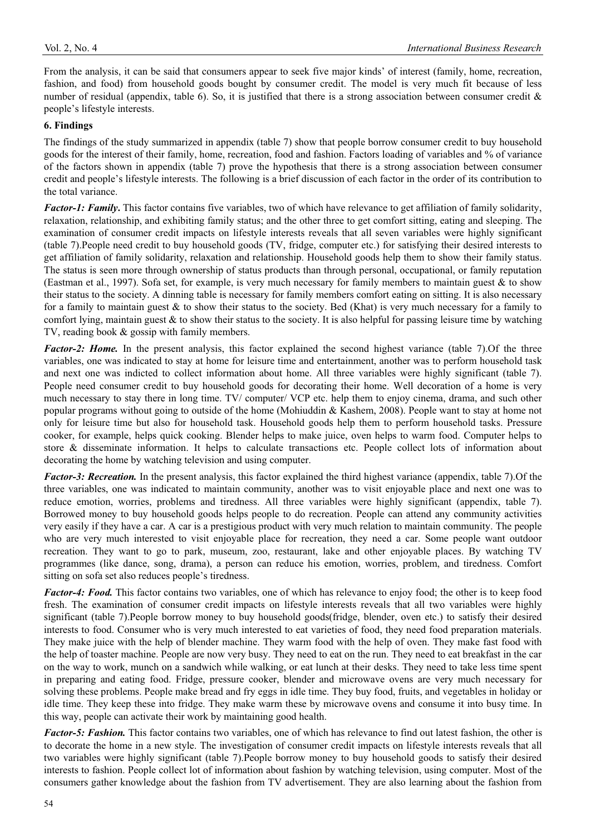From the analysis, it can be said that consumers appear to seek five major kinds' of interest (family, home, recreation, fashion, and food) from household goods bought by consumer credit. The model is very much fit because of less number of residual (appendix, table 6). So, it is justified that there is a strong association between consumer credit  $\&$ people's lifestyle interests.

## **6. Findings**

The findings of the study summarized in appendix (table 7) show that people borrow consumer credit to buy household goods for the interest of their family, home, recreation, food and fashion. Factors loading of variables and % of variance of the factors shown in appendix (table 7) prove the hypothesis that there is a strong association between consumer credit and people's lifestyle interests. The following is a brief discussion of each factor in the order of its contribution to the total variance.

*Factor-1: Family***.** This factor contains five variables, two of which have relevance to get affiliation of family solidarity, relaxation, relationship, and exhibiting family status; and the other three to get comfort sitting, eating and sleeping. The examination of consumer credit impacts on lifestyle interests reveals that all seven variables were highly significant (table 7).People need credit to buy household goods (TV, fridge, computer etc.) for satisfying their desired interests to get affiliation of family solidarity, relaxation and relationship. Household goods help them to show their family status. The status is seen more through ownership of status products than through personal, occupational, or family reputation (Eastman et al., 1997). Sofa set, for example, is very much necessary for family members to maintain guest & to show their status to the society. A dinning table is necessary for family members comfort eating on sitting. It is also necessary for a family to maintain guest & to show their status to the society. Bed (Khat) is very much necessary for a family to comfort lying, maintain guest  $&$  to show their status to the society. It is also helpful for passing leisure time by watching TV, reading book & gossip with family members.

*Factor-2: Home.* In the present analysis, this factor explained the second highest variance (table 7).Of the three variables, one was indicated to stay at home for leisure time and entertainment, another was to perform household task and next one was indicted to collect information about home. All three variables were highly significant (table 7). People need consumer credit to buy household goods for decorating their home. Well decoration of a home is very much necessary to stay there in long time. TV/ computer/ VCP etc. help them to enjoy cinema, drama, and such other popular programs without going to outside of the home (Mohiuddin & Kashem, 2008). People want to stay at home not only for leisure time but also for household task. Household goods help them to perform household tasks. Pressure cooker, for example, helps quick cooking. Blender helps to make juice, oven helps to warm food. Computer helps to store & disseminate information. It helps to calculate transactions etc. People collect lots of information about decorating the home by watching television and using computer.

*Factor-3: Recreation.* In the present analysis, this factor explained the third highest variance (appendix, table 7).Of the three variables, one was indicated to maintain community, another was to visit enjoyable place and next one was to reduce emotion, worries, problems and tiredness. All three variables were highly significant (appendix, table 7). Borrowed money to buy household goods helps people to do recreation. People can attend any community activities very easily if they have a car. A car is a prestigious product with very much relation to maintain community. The people who are very much interested to visit enjoyable place for recreation, they need a car. Some people want outdoor recreation. They want to go to park, museum, zoo, restaurant, lake and other enjoyable places. By watching TV programmes (like dance, song, drama), a person can reduce his emotion, worries, problem, and tiredness. Comfort sitting on sofa set also reduces people's tiredness.

*Factor-4: Food.* This factor contains two variables, one of which has relevance to enjoy food; the other is to keep food fresh. The examination of consumer credit impacts on lifestyle interests reveals that all two variables were highly significant (table 7).People borrow money to buy household goods(fridge, blender, oven etc.) to satisfy their desired interests to food. Consumer who is very much interested to eat varieties of food, they need food preparation materials. They make juice with the help of blender machine. They warm food with the help of oven. They make fast food with the help of toaster machine. People are now very busy. They need to eat on the run. They need to eat breakfast in the car on the way to work, munch on a sandwich while walking, or eat lunch at their desks. They need to take less time spent in preparing and eating food. Fridge, pressure cooker, blender and microwave ovens are very much necessary for solving these problems. People make bread and fry eggs in idle time. They buy food, fruits, and vegetables in holiday or idle time. They keep these into fridge. They make warm these by microwave ovens and consume it into busy time. In this way, people can activate their work by maintaining good health.

*Factor-5: Fashion.* This factor contains two variables, one of which has relevance to find out latest fashion, the other is to decorate the home in a new style. The investigation of consumer credit impacts on lifestyle interests reveals that all two variables were highly significant (table 7).People borrow money to buy household goods to satisfy their desired interests to fashion. People collect lot of information about fashion by watching television, using computer. Most of the consumers gather knowledge about the fashion from TV advertisement. They are also learning about the fashion from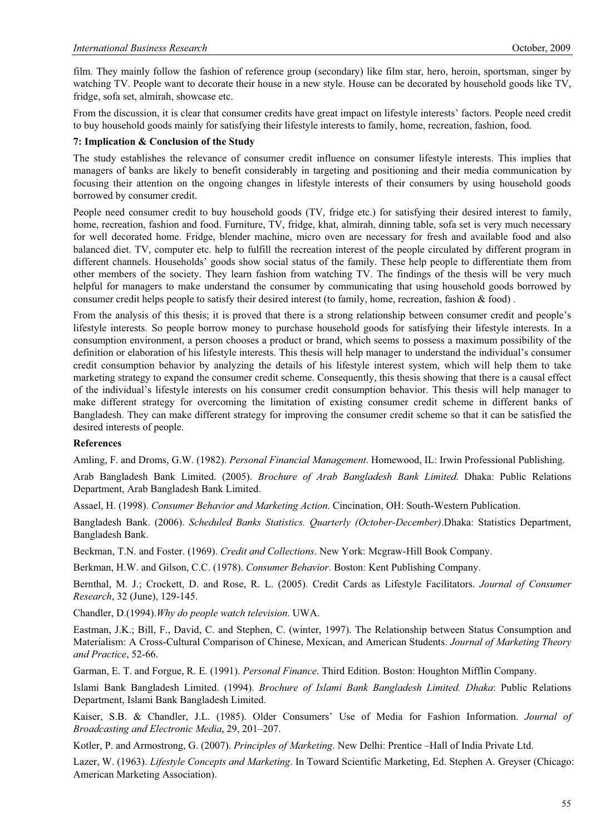film. They mainly follow the fashion of reference group (secondary) like film star, hero, heroin, sportsman, singer by watching TV. People want to decorate their house in a new style. House can be decorated by household goods like TV, fridge, sofa set, almirah, showcase etc.

From the discussion, it is clear that consumer credits have great impact on lifestyle interests' factors. People need credit to buy household goods mainly for satisfying their lifestyle interests to family, home, recreation, fashion, food.

## **7: Implication & Conclusion of the Study**

The study establishes the relevance of consumer credit influence on consumer lifestyle interests. This implies that managers of banks are likely to benefit considerably in targeting and positioning and their media communication by focusing their attention on the ongoing changes in lifestyle interests of their consumers by using household goods borrowed by consumer credit.

People need consumer credit to buy household goods (TV, fridge etc.) for satisfying their desired interest to family, home, recreation, fashion and food. Furniture, TV, fridge, khat, almirah, dinning table, sofa set is very much necessary for well decorated home. Fridge, blender machine, micro oven are necessary for fresh and available food and also balanced diet. TV, computer etc. help to fulfill the recreation interest of the people circulated by different program in different channels. Households' goods show social status of the family. These help people to differentiate them from other members of the society. They learn fashion from watching TV. The findings of the thesis will be very much helpful for managers to make understand the consumer by communicating that using household goods borrowed by consumer credit helps people to satisfy their desired interest (to family, home, recreation, fashion & food) .

From the analysis of this thesis; it is proved that there is a strong relationship between consumer credit and people's lifestyle interests. So people borrow money to purchase household goods for satisfying their lifestyle interests. In a consumption environment, a person chooses a product or brand, which seems to possess a maximum possibility of the definition or elaboration of his lifestyle interests. This thesis will help manager to understand the individual's consumer credit consumption behavior by analyzing the details of his lifestyle interest system, which will help them to take marketing strategy to expand the consumer credit scheme. Consequently, this thesis showing that there is a causal effect of the individual's lifestyle interests on his consumer credit consumption behavior. This thesis will help manager to make different strategy for overcoming the limitation of existing consumer credit scheme in different banks of Bangladesh. They can make different strategy for improving the consumer credit scheme so that it can be satisfied the desired interests of people.

#### **References**

Amling, F. and Droms, G.W. (1982). *Personal Financial Management*. Homewood, IL: Irwin Professional Publishing.

Arab Bangladesh Bank Limited. (2005). *Brochure of Arab Bangladesh Bank Limited*. Dhaka: Public Relations Department, Arab Bangladesh Bank Limited.

Assael, H. (1998). *Consumer Behavior and Marketing Action*. Cincination, OH: South-Western Publication.

Bangladesh Bank. (2006). *Scheduled Banks Statistics. Quarterly (October-December)*.Dhaka: Statistics Department, Bangladesh Bank.

Beckman, T.N. and Foster. (1969). *Credit and Collections*. New York: Mcgraw-Hill Book Company.

Berkman, H.W. and Gilson, C.C. (1978). *Consumer Behavior*. Boston: Kent Publishing Company.

Bernthal, M. J.; Crockett, D. and Rose, R. L. (2005). Credit Cards as Lifestyle Facilitators. *Journal of Consumer Research*, 32 (June), 129-145.

Chandler, D.(1994).*Why do people watch television*. UWA.

Eastman, J.K.; Bill, F., David, C. and Stephen, C. (winter, 1997). The Relationship between Status Consumption and Materialism: A Cross-Cultural Comparison of Chinese, Mexican, and American Students. *Journal of Marketing Theory and Practice*, 52-66.

Garman, E. T. and Forgue, R. E. (1991). *Personal Finance*. Third Edition. Boston: Houghton Mifflin Company.

Islami Bank Bangladesh Limited. (1994). *Brochure of Islami Bank Bangladesh Limited. Dhaka*: Public Relations Department, Islami Bank Bangladesh Limited.

Kaiser, S.B. & Chandler, J.L. (1985). Older Consumers' Use of Media for Fashion Information. *Journal of Broadcasting and Electronic Media*, 29, 201–207.

Kotler, P. and Armostrong, G. (2007). *Principles of Marketing*. New Delhi: Prentice –Hall of India Private Ltd.

Lazer, W. (1963). *Lifestyle Concepts and Marketing*. In Toward Scientific Marketing, Ed. Stephen A. Greyser (Chicago: American Marketing Association).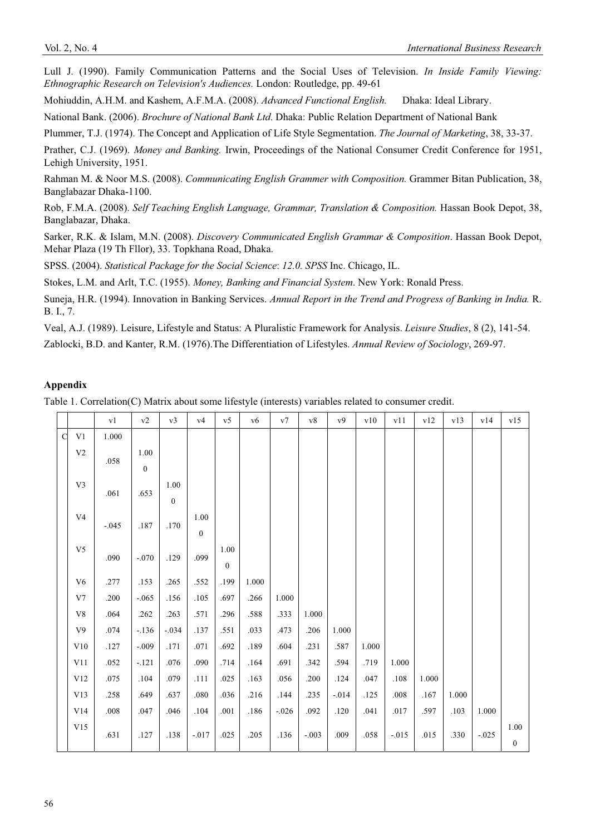Lull J. (1990). Family Communication Patterns and the Social Uses of Television. *In Inside Family Viewing: Ethnographic Research on Television's Audiences.* London: Routledge, pp. 49-61

Mohiuddin, A.H.M. and Kashem, A.F.M.A. (2008). *Advanced Functional English.* Dhaka: Ideal Library.

National Bank. (2006). *Brochure of National Bank Ltd*. Dhaka: Public Relation Department of National Bank

Plummer, T.J. (1974). The Concept and Application of Life Style Segmentation. *The Journal of Marketing*, 38, 33-37.

Prather, C.J. (1969). *Money and Banking.* Irwin, Proceedings of the National Consumer Credit Conference for 1951, Lehigh University, 1951.

Rahman M. & Noor M.S. (2008). *Communicating English Grammer with Composition.* Grammer Bitan Publication, 38, Banglabazar Dhaka-1100.

Rob, F.M.A. (2008). *Self Teaching English Language, Grammar, Translation & Composition.* Hassan Book Depot, 38, Banglabazar, Dhaka.

Sarker, R.K. & Islam, M.N. (2008). *Discovery Communicated English Grammar & Composition*. Hassan Book Depot, Mehar Plaza (19 Th Fllor), 33. Topkhana Road, Dhaka.

SPSS. (2004). *Statistical Package for the Social Science*: *12.0. SPSS* Inc. Chicago, IL.

Stokes, L.M. and Arlt, T.C. (1955). *Money, Banking and Financial System*. New York: Ronald Press.

Suneja, H.R. (1994). Innovation in Banking Services. *Annual Report in the Trend and Progress of Banking in India.* R. B. I., 7.

Veal, A.J. (1989). Leisure, Lifestyle and Status: A Pluralistic Framework for Analysis. *Leisure Studies*, 8 (2), 141-54. Zablocki, B.D. and Kanter, R.M. (1976).The Differentiation of Lifestyles. *Annual Review of Sociology*, 269-97.

#### **Appendix**

Table 1. Correlation(C) Matrix about some lifestyle (interests) variables related to consumer credit.

|             |                | v1      | v2               | v3               | v4               | v5               | v6    | v7       | v8      | v9      | v10   | v11     | v12   | v13   | v14     | v15          |
|-------------|----------------|---------|------------------|------------------|------------------|------------------|-------|----------|---------|---------|-------|---------|-------|-------|---------|--------------|
| $\mathbf C$ | V <sub>1</sub> | 1.000   |                  |                  |                  |                  |       |          |         |         |       |         |       |       |         |              |
|             | V <sub>2</sub> | .058    | 1.00             |                  |                  |                  |       |          |         |         |       |         |       |       |         |              |
|             |                |         | $\boldsymbol{0}$ |                  |                  |                  |       |          |         |         |       |         |       |       |         |              |
|             | V3             | .061    | .653             | 1.00             |                  |                  |       |          |         |         |       |         |       |       |         |              |
|             |                |         |                  | $\boldsymbol{0}$ |                  |                  |       |          |         |         |       |         |       |       |         |              |
|             | V <sub>4</sub> | $-.045$ | .187             | .170             | 1.00             |                  |       |          |         |         |       |         |       |       |         |              |
|             |                |         |                  |                  | $\boldsymbol{0}$ |                  |       |          |         |         |       |         |       |       |         |              |
|             | V <sub>5</sub> | .090    | $-.070$          | .129             | .099             | 1.00             |       |          |         |         |       |         |       |       |         |              |
|             |                |         |                  |                  |                  | $\boldsymbol{0}$ |       |          |         |         |       |         |       |       |         |              |
|             | V <sub>6</sub> | .277    | .153             | .265             | .552             | .199             | 1.000 |          |         |         |       |         |       |       |         |              |
|             | V7             | .200    | $-.065$          | .156             | .105             | .697             | .266  | 1.000    |         |         |       |         |       |       |         |              |
|             | V8             | .064    | .262             | .263             | .571             | .296             | .588  | .333     | 1.000   |         |       |         |       |       |         |              |
|             | V9             | .074    | $-.136$          | $-.034$          | .137             | .551             | .033  | .473     | .206    | 1.000   |       |         |       |       |         |              |
|             | V10            | .127    | $-.009$          | .171             | .071             | .692             | .189  | .604     | .231    | .587    | 1.000 |         |       |       |         |              |
|             | V11            | .052    | $-.121$          | .076             | .090             | .714             | .164  | .691     | .342    | .594    | .719  | 1.000   |       |       |         |              |
|             | V12            | .075    | .104             | .079             | .111             | .025             | .163  | .056     | .200    | .124    | .047  | .108    | 1.000 |       |         |              |
|             | V13            | .258    | .649             | .637             | .080             | .036             | .216  | .144     | .235    | $-.014$ | .125  | .008    | .167  | 1.000 |         |              |
|             | V14            | .008    | .047             | .046             | .104             | .001             | .186  | $-0.026$ | .092    | .120    | .041  | .017    | .597  | .103  | 1.000   |              |
|             | V15            | .631    | .127             | .138             | $-.017$          | .025             | .205  | .136     | $-.003$ | .009    | .058  | $-.015$ | .015  | .330  | $-.025$ | $1.00\,$     |
|             |                |         |                  |                  |                  |                  |       |          |         |         |       |         |       |       |         | $\mathbf{0}$ |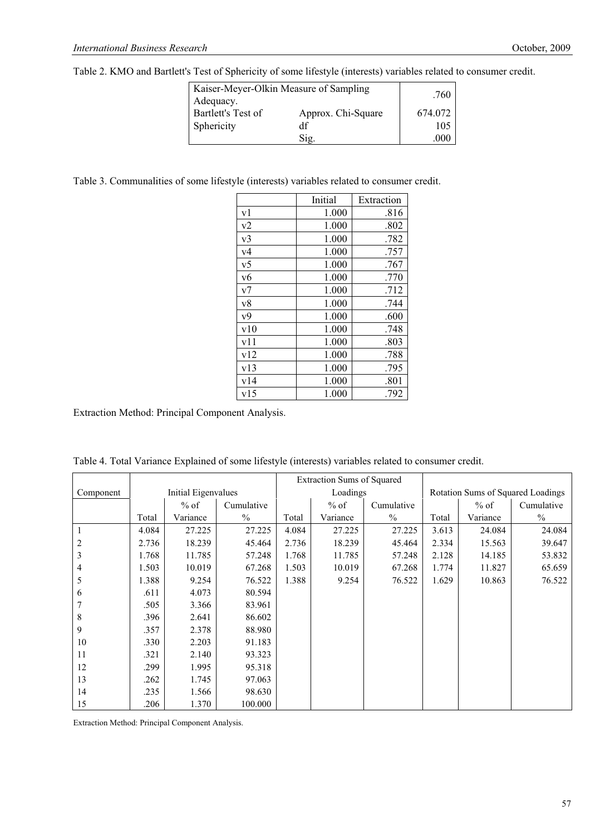Table 2. KMO and Bartlett's Test of Sphericity of some lifestyle (interests) variables related to consumer credit.

| Kaiser-Meyer-Olkin Measure of Sampling |                    |         |
|----------------------------------------|--------------------|---------|
| Adequacy.                              | .760               |         |
| Bartlett's Test of                     | Approx. Chi-Square | 674.072 |
| Sphericity                             | df                 | 105     |
|                                        | Sig.               | .000    |

Table 3. Communalities of some lifestyle (interests) variables related to consumer credit.

|                | Initial | Extraction |
|----------------|---------|------------|
| v1             | 1.000   | .816       |
| v2             | 1.000   | .802       |
| v3             | 1.000   | .782       |
| v4             | 1.000   | .757       |
| v <sub>5</sub> | 1.000   | .767       |
| v6             | 1.000   | .770       |
| v7             | 1.000   | .712       |
| v8             | 1.000   | .744       |
| v9             | 1.000   | .600       |
| v10            | 1.000   | .748       |
| v11            | 1.000   | .803       |
| v12            | 1.000   | .788       |
| v13            | 1.000   | .795       |
| v14            | 1.000   | .801       |
| v15            | 1.000   | .792       |

Extraction Method: Principal Component Analysis.

|           |       |                     |               |       | <b>Extraction Sums of Squared</b> |               |                                   |          |               |  |
|-----------|-------|---------------------|---------------|-------|-----------------------------------|---------------|-----------------------------------|----------|---------------|--|
| Component |       | Initial Eigenvalues |               |       | Loadings                          |               | Rotation Sums of Squared Loadings |          |               |  |
|           |       | $%$ of              | Cumulative    |       | $%$ of                            | Cumulative    |                                   | $%$ of   | Cumulative    |  |
|           | Total | Variance            | $\frac{0}{0}$ | Total | Variance                          | $\frac{0}{0}$ | Total                             | Variance | $\frac{0}{0}$ |  |
|           | 4.084 | 27.225              | 27.225        | 4.084 | 27.225                            | 27.225        | 3.613                             | 24.084   | 24.084        |  |
| 2         | 2.736 | 18.239              | 45.464        | 2.736 | 18.239                            | 45.464        | 2.334                             | 15.563   | 39.647        |  |
| 3         | 1.768 | 11.785              | 57.248        | 1.768 | 11.785                            | 57.248        | 2.128                             | 14.185   | 53.832        |  |
| 4         | 1.503 | 10.019              | 67.268        | 1.503 | 10.019                            | 67.268        | 1.774                             | 11.827   | 65.659        |  |
| 5         | 1.388 | 9.254               | 76.522        | 1.388 | 9.254                             | 76.522        | 1.629                             | 10.863   | 76.522        |  |
| 6         | .611  | 4.073               | 80.594        |       |                                   |               |                                   |          |               |  |
|           | .505  | 3.366               | 83.961        |       |                                   |               |                                   |          |               |  |
| 8         | .396  | 2.641               | 86.602        |       |                                   |               |                                   |          |               |  |
| 9         | .357  | 2.378               | 88.980        |       |                                   |               |                                   |          |               |  |
| 10        | .330  | 2.203               | 91.183        |       |                                   |               |                                   |          |               |  |
| 11        | .321  | 2.140               | 93.323        |       |                                   |               |                                   |          |               |  |
| 12        | .299  | 1.995               | 95.318        |       |                                   |               |                                   |          |               |  |
| 13        | .262  | 1.745               | 97.063        |       |                                   |               |                                   |          |               |  |
| 14        | .235  | 1.566               | 98.630        |       |                                   |               |                                   |          |               |  |
| 15        | .206  | 1.370               | 100.000       |       |                                   |               |                                   |          |               |  |

Table 4. Total Variance Explained of some lifestyle (interests) variables related to consumer credit.

Extraction Method: Principal Component Analysis.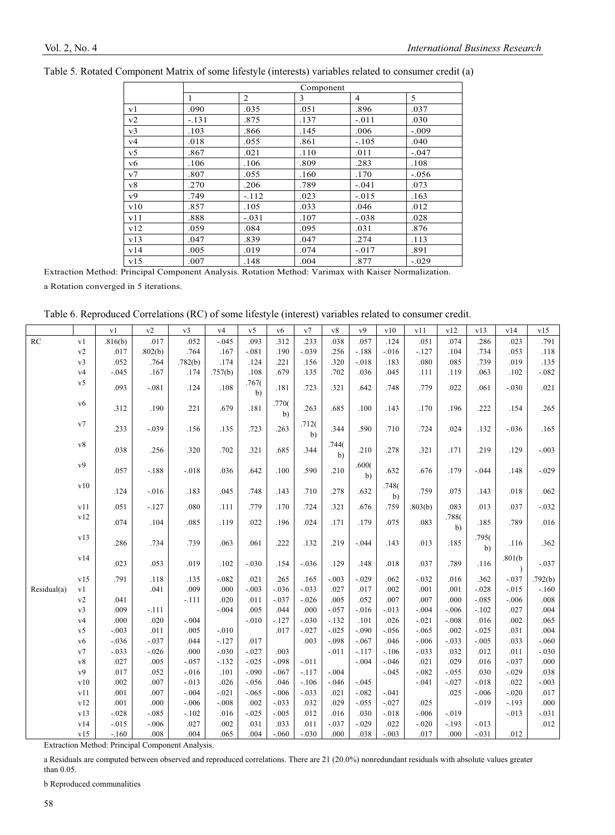|                |              | Component |      |                |         |  |  |  |  |
|----------------|--------------|-----------|------|----------------|---------|--|--|--|--|
|                | $\mathbf{1}$ | 2         | 3    | $\overline{4}$ | 5       |  |  |  |  |
| v1             | .090         | .035      | .051 | .896           | .037    |  |  |  |  |
| v2             | $-.131$      | .875      | .137 | $-.011$        | .030    |  |  |  |  |
| v3             | .103         | .866      | .145 | .006           | $-.009$ |  |  |  |  |
| v4             | .018         | .055      | .861 | $-.105$        | .040    |  |  |  |  |
| v <sub>5</sub> | .867         | .021      | .110 | .011           | $-.047$ |  |  |  |  |
| v6             | .106         | .106      | .809 | .283           | .108    |  |  |  |  |
| v7             | .807         | .055      | .160 | .170           | $-.056$ |  |  |  |  |
| v8             | .270         | .206      | .789 | $-.041$        | .073    |  |  |  |  |
| v9             | .749         | $-.112$   | .023 | $-.015$        | .163    |  |  |  |  |
| v10            | .857         | .105      | .033 | .046           | .012    |  |  |  |  |
| v11            | .888         | $-.031$   | .107 | $-.038$        | .028    |  |  |  |  |
| v12            | .059         | .084      | .095 | .031           | .876    |  |  |  |  |
| v13            | .047         | .839      | .047 | .274           | .113    |  |  |  |  |
| v14            | .005         | .019      | .074 | $-.017$        | .891    |  |  |  |  |
| v15            | .007         | .148      | .004 | .877           | $-.029$ |  |  |  |  |

## Table 5. Rotated Component Matrix of some lifestyle (interests) variables related to consumer credit (a)

Extraction Method: Principal Component Analysis. Rotation Method: Varimax with Kaiser Normalization.

a Rotation converged in 5 iterations.

| Table 6. Reproduced Correlations (RC) of some lifestyle (interest) variables related to consumer credit. |  |  |
|----------------------------------------------------------------------------------------------------------|--|--|
|                                                                                                          |  |  |

|                        |                | ${\rm v1}$ | v2      | v3      | v4      | v <sub>5</sub> | v6          | v7          | v8          | v9          | v10         | v11     | v12         | v13         | v14                  | v15      |
|------------------------|----------------|------------|---------|---------|---------|----------------|-------------|-------------|-------------|-------------|-------------|---------|-------------|-------------|----------------------|----------|
| $\mathbb{R}\mathbb{C}$ | v1             | .816(b)    | .017    | .052    | $-.045$ | .093           | .312        | .233        | .038        | .057        | .124        | .051    | .074        | .286        | .023                 | .791     |
|                        | v2             | .017       | .802(b) | .764    | .167    | $-.081$        | .190        | $-.039$     | .256        | $-.188$     | $-0.016$    | $-.127$ | .104        | .734        | .053                 | .118     |
|                        | v3             | .052       | .764    | .782(b) | .174    | .124           | .221        | .156        | .320        | $-.018$     | .183        | .080    | .085        | .739        | .019                 | .135     |
|                        | v4             | $-.045$    | .167    | .174    | .757(b) | .108           | .679        | .135        | .702        | .036        | .045        | .111    | .119        | .063        | .102                 | $-.082$  |
|                        | v5             | .093       | $-.081$ | .124    | .108    | .767(<br>b)    | .181        | .723        | .321        | .642        | .748        | .779    | .022        | .061        | $-.030$              | .021     |
|                        | v6             | .312       | .190    | .221    | .679    | .181           | .770(<br>b) | .263        | .685        | .100        | .143        | .170    | .196        | .222        | .154                 | .265     |
|                        | v7             | .233       | $-.039$ | .156    | .135    | .723           | .263        | .712(<br>b) | .344        | .590        | .710        | .724    | .024        | .132        | $-.036$              | .165     |
|                        | ${\rm v}8$     | .038       | .256    | .320    | .702    | .321           | .685        | .344        | .744(<br>b) | .210        | .278        | .321    | .171        | .219        | .129                 | $-.003$  |
|                        | v9             | .057       | $-.188$ | $-.018$ | .036    | .642           | .100        | .590        | .210        | .600(<br>b) | .632        | .676    | .179        | $-.044$     | .148                 | $-.029$  |
|                        | v10            | .124       | $-.016$ | .183    | .045    | .748           | .143        | .710        | .278        | .632        | .748(<br>b) | .759    | .075        | .143        | .018                 | .062     |
|                        | v11            | .051       | $-127$  | .080    | .111    | .779           | .170        | .724        | .321        | .676        | .759        | .803(b) | .083        | .013        | .037                 | $-.032$  |
|                        | v12            | .074       | .104    | .085    | .119    | .022           | .196        | .024        | .171        | .179        | .075        | .083    | .788(<br>b) | .185        | .789                 | .016     |
|                        | v13            | .286       | .734    | .739    | .063    | .061           | .222        | .132        | .219        | $-.044$     | .143        | .013    | .185        | .795(<br>b) | .116                 | .362     |
|                        | v14            | .023       | .053    | .019    | .102    | $-.030$        | .154        | $-.036$     | .129        | .148        | .018        | .037    | .789        | .116        | .801(b)<br>$\lambda$ | $-0.037$ |
|                        | v15            | .791       | .118    | .135    | $-.082$ | .021           | .265        | .165        | $-.003$     | $-.029$     | .062        | $-.032$ | .016        | .362        | $-.037$              | .792(b)  |
| Residual(a)            | v1             |            | .041    | .009    | .000    | $-.003$        | $-.036$     | $-.033$     | .027        | .017        | .002        | .001    | .001        | $-.028$     | $-0.015$             | $-160$   |
|                        | v2             | .041       |         | $-.111$ | .020    | .011           | $-.037$     | $-.026$     | .005        | .052        | .007        | .007    | .000        | $-.085$     | $-.006$              | $.008\,$ |
|                        | v3             | .009       | $-.111$ |         | $-.004$ | .005           | .044        | .000        | $-.057$     | $-.016$     | $-.013$     | $-.004$ | $-.006$     | $-.102$     | .027                 | .004     |
|                        | v4             | .000       | .020    | $-.004$ |         | $-.010$        | $-127$      | $-.030$     | $-132$      | .101        | .026        | $-.021$ | $-.008$     | .016        | .002                 | .065     |
|                        | v5             | $-.003$    | .011    | .005    | $-.010$ |                | .017        | $-.027$     | $-.025$     | $-.090$     | $-.056$     | $-.065$ | .002        | $-.025$     | .031                 | .004     |
|                        | v6             | $-.036$    | $-.037$ | .044    | $-.127$ | .017           |             | .003        | $-.098$     | $-.067$     | .046        | $-.006$ | $-.033$     | $-.005$     | .033                 | $-.060$  |
|                        | ${\rm v}7$     | $-.033$    | $-.026$ | .000    | $-.030$ | $-.027$        | .003        |             | $-.011$     | $-.117$     | $-.106$     | $-.033$ | .032        | .012        | .011                 | $-.030$  |
|                        | ${\rm v}8$     | .027       | .005    | $-.057$ | $-.132$ | $-.025$        | $-.098$     | $-.011$     |             | $-.004$     | $-.046$     | .021    | .029        | .016        | $-.037$              | $.000\,$ |
|                        | v <sub>9</sub> | .017       | .052    | $-.016$ | .101    | $-.090$        | $-.067$     | $-.117$     | $-.004$     |             | $-.045$     | $-.082$ | $-0.055$    | .030        | $-.029$              | .038     |
|                        | v10            | .002       | .007    | $-.013$ | .026    | $-.056$        | .046        | $-.106$     | $-.046$     | $-.045$     |             | $-.041$ | $-.027$     | $-.018$     | .022                 | $-.003$  |
|                        | v11            | .001       | .007    | $-.004$ | $-.021$ | $-.065$        | $-.006$     | $-.033$     | .021        | $-.082$     | $-.041$     |         | .025        | $-.006$     | $-.020$              | .017     |
|                        | v12            | .001       | .000    | $-.006$ | $-.008$ | .002           | $-.033$     | .032        | .029        | $-.055$     | $-.027$     | .025    |             | $-0.019$    | $-.193$              | .000     |
|                        | v13            | $-.028$    | $-.085$ | $-.102$ | .016    | $-.025$        | $-.005$     | .012        | .016        | .030        | $-.018$     | $-.006$ | $-.019$     |             | $-.013$              | $-.031$  |
|                        | v14            | $-0.015$   | $-.006$ | .027    | .002    | .031           | .033        | .011        | $-.037$     | $-.029$     | .022        | $-.020$ | $-.193$     | $-.013$     |                      | .012     |
|                        | v15            | $-.160$    | .008    | .004    | .065    | .004           | $-.060$     | $-.030$     | .000        | .038        | $-.003$     | .017    | .000        | $-.031$     | .012                 |          |

Extraction Method: Principal Component Analysis.

a Residuals are computed between observed and reproduced correlations. There are 21 (20.0%) nonredundant residuals with absolute values greater than 0.05.

b Reproduced communalities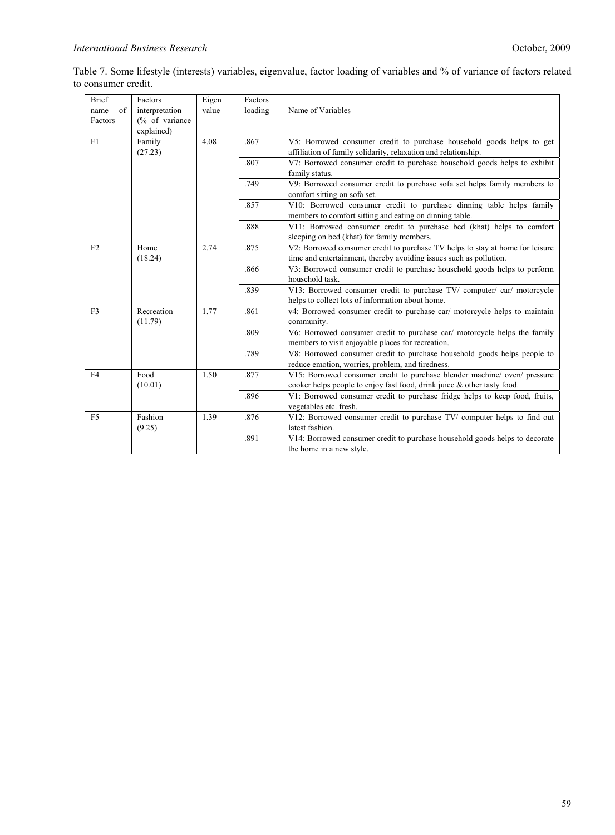Table 7. Some lifestyle (interests) variables, eigenvalue, factor loading of variables and % of variance of factors related to consumer credit.

| <b>Brief</b>   | Factors         | Eigen | Factors |                                                                               |
|----------------|-----------------|-------|---------|-------------------------------------------------------------------------------|
| name<br>of     | interpretation  | value | loading | Name of Variables                                                             |
| Factors        | (% of variance) |       |         |                                                                               |
|                | explained)      |       |         |                                                                               |
| F1             | Family          | 4.08  | .867    | V5: Borrowed consumer credit to purchase household goods helps to get         |
|                | (27.23)         |       |         | affiliation of family solidarity, relaxation and relationship.                |
|                |                 |       | .807    | V7: Borrowed consumer credit to purchase household goods helps to exhibit     |
|                |                 |       |         | family status.                                                                |
|                |                 |       | .749    | V9: Borrowed consumer credit to purchase sofa set helps family members to     |
|                |                 |       |         | comfort sitting on sofa set.                                                  |
|                |                 |       | .857    | V10: Borrowed consumer credit to purchase dinning table helps family          |
|                |                 |       |         | members to comfort sitting and eating on dinning table.                       |
|                |                 |       | .888    | V11: Borrowed consumer credit to purchase bed (khat) helps to comfort         |
|                |                 |       |         | sleeping on bed (khat) for family members.                                    |
| F <sub>2</sub> | Home            | 2.74  | .875    | V2: Borrowed consumer credit to purchase TV helps to stay at home for leisure |
|                | (18.24)         |       |         | time and entertainment, thereby avoiding issues such as pollution.            |
|                |                 |       | .866    | V3: Borrowed consumer credit to purchase household goods helps to perform     |
|                |                 |       |         | household task.                                                               |
|                |                 |       | .839    | V13: Borrowed consumer credit to purchase TV/ computer/ car/ motorcycle       |
|                |                 |       |         | helps to collect lots of information about home.                              |
| F <sub>3</sub> | Recreation      | 1.77  | .861    | v4: Borrowed consumer credit to purchase car/ motorcycle helps to maintain    |
|                | (11.79)         |       |         | community.                                                                    |
|                |                 |       | .809    | V6: Borrowed consumer credit to purchase car/ motorcycle helps the family     |
|                |                 |       |         | members to visit enjoyable places for recreation.                             |
|                |                 |       | .789    | V8: Borrowed consumer credit to purchase household goods helps people to      |
|                |                 |       |         | reduce emotion, worries, problem, and tiredness.                              |
| F <sub>4</sub> | Food            | 1.50  | .877    | V15: Borrowed consumer credit to purchase blender machine/ oven/ pressure     |
|                | (10.01)         |       |         | cooker helps people to enjoy fast food, drink juice & other tasty food.       |
|                |                 |       | .896    | V1: Borrowed consumer credit to purchase fridge helps to keep food, fruits,   |
|                |                 |       |         | vegetables etc. fresh.                                                        |
| F <sub>5</sub> | Fashion         | 1.39  | .876    | V12: Borrowed consumer credit to purchase TV/ computer helps to find out      |
|                | (9.25)          |       |         | latest fashion.                                                               |
|                |                 |       | .891    | V14: Borrowed consumer credit to purchase household goods helps to decorate   |
|                |                 |       |         | the home in a new style.                                                      |